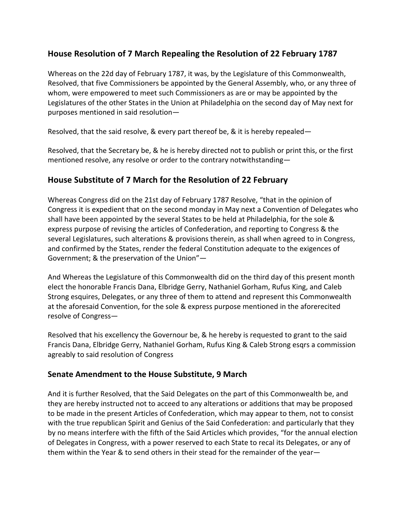## **House Resolution of 7 March Repealing the Resolution of 22 February 1787**

Whereas on the 22d day of February 1787, it was, by the Legislature of this Commonwealth, Resolved, that five Commissioners be appointed by the General Assembly, who, or any three of whom, were empowered to meet such Commissioners as are or may be appointed by the Legislatures of the other States in the Union at Philadelphia on the second day of May next for purposes mentioned in said resolution—

Resolved, that the said resolve, & every part thereof be, & it is hereby repealed—

Resolved, that the Secretary be, & he is hereby directed not to publish or print this, or the first mentioned resolve, any resolve or order to the contrary notwithstanding-

## House Substitute of 7 March for the Resolution of 22 February

Whereas Congress did on the 21st day of February 1787 Resolve, "that in the opinion of Congress it is expedient that on the second monday in May next a Convention of Delegates who shall have been appointed by the several States to be held at Philadelphia, for the sole & express purpose of revising the articles of Confederation, and reporting to Congress & the several Legislatures, such alterations & provisions therein, as shall when agreed to in Congress, and confirmed by the States, render the federal Constitution adequate to the exigences of Government; & the preservation of the Union"-

And Whereas the Legislature of this Commonwealth did on the third day of this present month elect the honorable Francis Dana, Elbridge Gerry, Nathaniel Gorham, Rufus King, and Caleb Strong esquires, Delegates, or any three of them to attend and represent this Commonwealth at the aforesaid Convention, for the sole & express purpose mentioned in the aforerecited resolve of Congress-

Resolved that his excellency the Governour be, & he hereby is requested to grant to the said Francis Dana, Elbridge Gerry, Nathaniel Gorham, Rufus King & Caleb Strong esqrs a commission agreably to said resolution of Congress

## **Senate Amendment to the House Substitute, 9 March**

And it is further Resolved, that the Said Delegates on the part of this Commonwealth be, and they are hereby instructed not to acceed to any alterations or additions that may be proposed to be made in the present Articles of Confederation, which may appear to them, not to consist with the true republican Spirit and Genius of the Said Confederation: and particularly that they by no means interfere with the fifth of the Said Articles which provides, "for the annual election of Delegates in Congress, with a power reserved to each State to recal its Delegates, or any of them within the Year & to send others in their stead for the remainder of the year